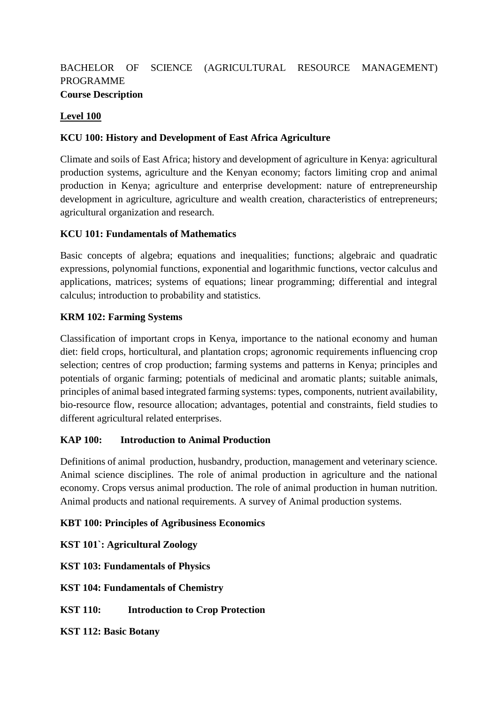# BACHELOR OF SCIENCE (AGRICULTURAL RESOURCE MANAGEMENT) PROGRAMME **Course Description**

# **Level 100**

## **KCU 100: History and Development of East Africa Agriculture**

Climate and soils of East Africa; history and development of agriculture in Kenya: agricultural production systems, agriculture and the Kenyan economy; factors limiting crop and animal production in Kenya; agriculture and enterprise development: nature of entrepreneurship development in agriculture, agriculture and wealth creation, characteristics of entrepreneurs; agricultural organization and research.

## **KCU 101: Fundamentals of Mathematics**

Basic concepts of algebra; equations and inequalities; functions; algebraic and quadratic expressions, polynomial functions, exponential and logarithmic functions, vector calculus and applications, matrices; systems of equations; linear programming; differential and integral calculus; introduction to probability and statistics.

## **KRM 102: Farming Systems**

Classification of important crops in Kenya, importance to the national economy and human diet: field crops, horticultural, and plantation crops; agronomic requirements influencing crop selection; centres of crop production; farming systems and patterns in Kenya; principles and potentials of organic farming; potentials of medicinal and aromatic plants; suitable animals, principles of animal based integrated farming systems: types, components, nutrient availability, bio-resource flow, resource allocation; advantages, potential and constraints, field studies to different agricultural related enterprises.

# **KAP 100: Introduction to Animal Production**

Definitions of animal production, husbandry, production, management and veterinary science. Animal science disciplines. The role of animal production in agriculture and the national economy. Crops versus animal production. The role of animal production in human nutrition. Animal products and national requirements. A survey of Animal production systems.

### **KBT 100: Principles of Agribusiness Economics**

**KST 101`: Agricultural Zoology**

**KST 103: Fundamentals of Physics**

**KST 104: Fundamentals of Chemistry**

**KST 110: Introduction to Crop Protection** 

**KST 112: Basic Botany**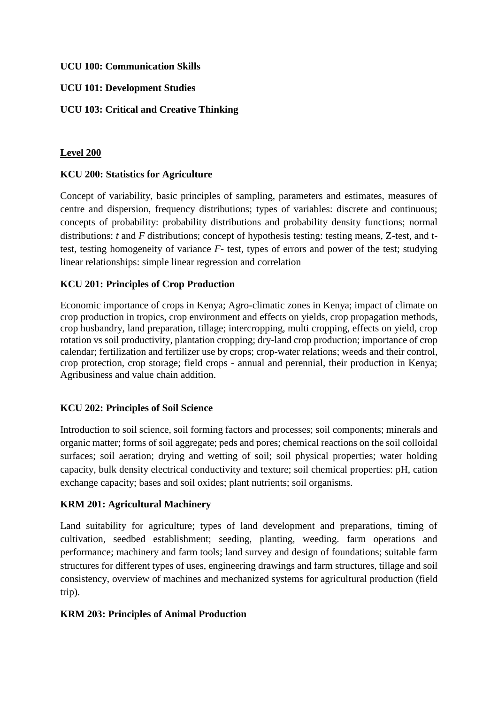### **UCU 100: Communication Skills**

## **UCU 101: Development Studies**

## **UCU 103: Critical and Creative Thinking**

## **Level 200**

## **KCU 200: Statistics for Agriculture**

Concept of variability, basic principles of sampling, parameters and estimates, measures of centre and dispersion, frequency distributions; types of variables: discrete and continuous; concepts of probability: probability distributions and probability density functions; normal distributions: *t* and *F* distributions; concept of hypothesis testing: testing means, Z-test, and ttest, testing homogeneity of variance *F*- test, types of errors and power of the test; studying linear relationships: simple linear regression and correlation

## **KCU 201: Principles of Crop Production**

Economic importance of crops in Kenya; Agro-climatic zones in Kenya; impact of climate on crop production in tropics, crop environment and effects on yields, crop propagation methods, crop husbandry, land preparation, tillage; intercropping, multi cropping, effects on yield, crop rotation vs soil productivity, plantation cropping; dry-land crop production; importance of crop calendar; fertilization and fertilizer use by crops; crop-water relations; weeds and their control, crop protection, crop storage; field crops - annual and perennial, their production in Kenya; Agribusiness and value chain addition.

# **KCU 202: Principles of Soil Science**

Introduction to soil science, soil forming factors and processes; soil components; minerals and organic matter; forms of soil aggregate; peds and pores; chemical reactions on the soil colloidal surfaces; soil aeration; drying and wetting of soil; soil physical properties; water holding capacity, bulk density electrical conductivity and texture; soil chemical properties: pH, cation exchange capacity; bases and soil oxides; plant nutrients; soil organisms.

### **KRM 201: Agricultural Machinery**

Land suitability for agriculture; types of land development and preparations, timing of cultivation, seedbed establishment; seeding, planting, weeding. farm operations and performance; machinery and farm tools; land survey and design of foundations; suitable farm structures for different types of uses, engineering drawings and farm structures, tillage and soil consistency, overview of machines and mechanized systems for agricultural production (field trip).

### **KRM 203: Principles of Animal Production**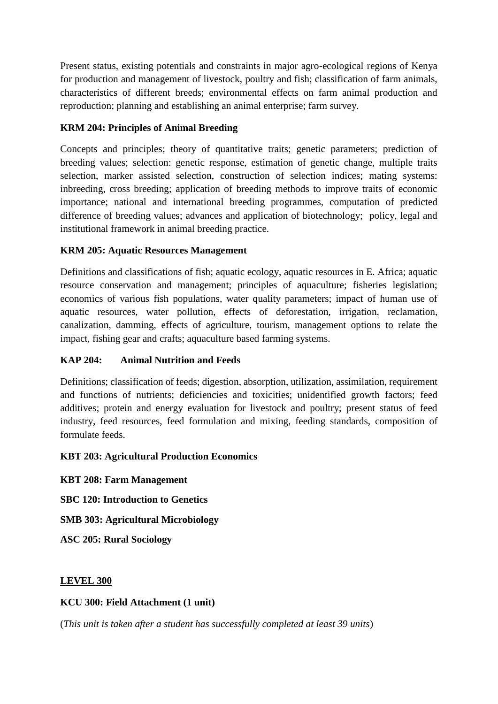Present status, existing potentials and constraints in major agro-ecological regions of Kenya for production and management of livestock, poultry and fish; classification of farm animals, characteristics of different breeds; environmental effects on farm animal production and reproduction; planning and establishing an animal enterprise; farm survey.

# **KRM 204: Principles of Animal Breeding**

Concepts and principles; theory of quantitative traits; genetic parameters; prediction of breeding values; selection: genetic response, estimation of genetic change, multiple traits selection, marker assisted selection, construction of selection indices; mating systems: inbreeding, cross breeding; application of breeding methods to improve traits of economic importance; national and international breeding programmes, computation of predicted difference of breeding values; advances and application of biotechnology; policy, legal and institutional framework in animal breeding practice.

# **KRM 205: Aquatic Resources Management**

Definitions and classifications of fish; aquatic ecology, aquatic resources in E. Africa; aquatic resource conservation and management; principles of aquaculture; fisheries legislation; economics of various fish populations, water quality parameters; impact of human use of aquatic resources, water pollution, effects of deforestation, irrigation, reclamation, canalization, damming, effects of agriculture, tourism, management options to relate the impact, fishing gear and crafts; aquaculture based farming systems.

# **KAP 204: Animal Nutrition and Feeds**

Definitions; classification of feeds; digestion, absorption, utilization, assimilation, requirement and functions of nutrients; deficiencies and toxicities; unidentified growth factors; feed additives; protein and energy evaluation for livestock and poultry; present status of feed industry, feed resources, feed formulation and mixing, feeding standards, composition of formulate feeds.

# **KBT 203: Agricultural Production Economics**

**KBT 208: Farm Management** 

**SBC 120: Introduction to Genetics**

**SMB 303: Agricultural Microbiology** 

**ASC 205: Rural Sociology** 

# **LEVEL 300**

# **KCU 300: Field Attachment (1 unit)**

(*This unit is taken after a student has successfully completed at least 39 units*)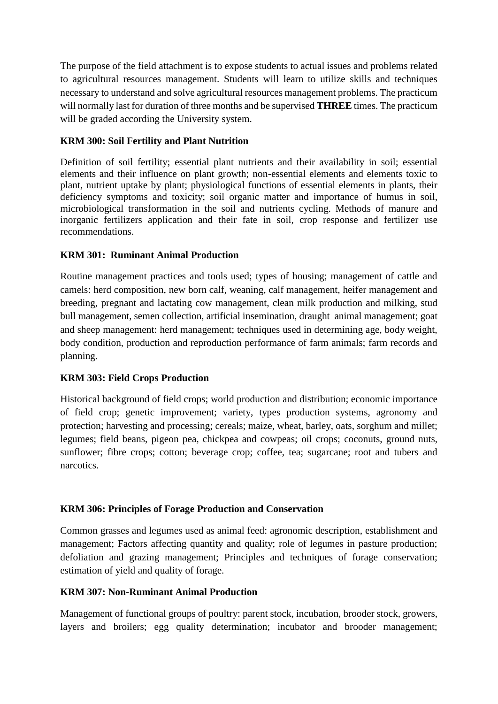The purpose of the field attachment is to expose students to actual issues and problems related to agricultural resources management. Students will learn to utilize skills and techniques necessary to understand and solve agricultural resources management problems. The practicum will normally last for duration of three months and be supervised **THREE** times. The practicum will be graded according the University system.

## **KRM 300: Soil Fertility and Plant Nutrition**

Definition of soil fertility; essential plant nutrients and their availability in soil; essential elements and their influence on plant growth; non-essential elements and elements toxic to plant, nutrient uptake by plant; physiological functions of essential elements in plants, their deficiency symptoms and toxicity; soil organic matter and importance of humus in soil, microbiological transformation in the soil and nutrients cycling. Methods of manure and inorganic fertilizers application and their fate in soil, crop response and fertilizer use recommendations.

## **KRM 301: Ruminant Animal Production**

Routine management practices and tools used; types of housing; management of cattle and camels: herd composition, new born calf, weaning, calf management, heifer management and breeding, pregnant and lactating cow management, clean milk production and milking, stud bull management, semen collection, artificial insemination, draught animal management; goat and sheep management: herd management; techniques used in determining age, body weight, body condition, production and reproduction performance of farm animals; farm records and planning.

### **KRM 303: Field Crops Production**

Historical background of field crops; world production and distribution; economic importance of field crop; genetic improvement; variety, types production systems, agronomy and protection; harvesting and processing; cereals; maize, wheat, barley, oats, sorghum and millet; legumes; field beans, pigeon pea, chickpea and cowpeas; oil crops; coconuts, ground nuts, sunflower; fibre crops; cotton; beverage crop; coffee, tea; sugarcane; root and tubers and narcotics.

### **KRM 306: Principles of Forage Production and Conservation**

Common grasses and legumes used as animal feed: agronomic description, establishment and management; Factors affecting quantity and quality; role of legumes in pasture production; defoliation and grazing management; Principles and techniques of forage conservation; estimation of yield and quality of forage.

### **KRM 307: Non-Ruminant Animal Production**

Management of functional groups of poultry: parent stock, incubation, brooder stock, growers, layers and broilers; egg quality determination; incubator and brooder management;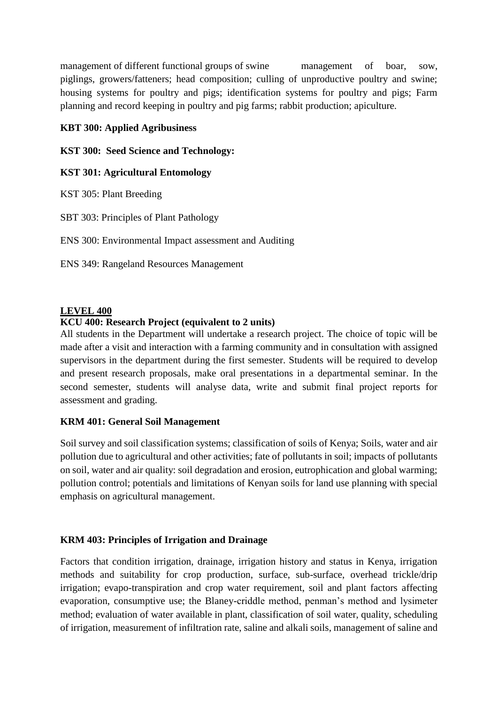management of different functional groups of swine management of boar, sow, piglings, growers/fatteners; head composition; culling of unproductive poultry and swine; housing systems for poultry and pigs; identification systems for poultry and pigs; Farm planning and record keeping in poultry and pig farms; rabbit production; apiculture.

## **KBT 300: Applied Agribusiness**

**KST 300: Seed Science and Technology:**

### **KST 301: Agricultural Entomology**

KST 305: Plant Breeding

SBT 303: Principles of Plant Pathology

ENS 300: Environmental Impact assessment and Auditing

ENS 349: Rangeland Resources Management

#### **LEVEL 400**

### **KCU 400: Research Project (equivalent to 2 units)**

All students in the Department will undertake a research project. The choice of topic will be made after a visit and interaction with a farming community and in consultation with assigned supervisors in the department during the first semester. Students will be required to develop and present research proposals, make oral presentations in a departmental seminar. In the second semester, students will analyse data, write and submit final project reports for assessment and grading.

### **KRM 401: General Soil Management**

Soil survey and soil classification systems; classification of soils of Kenya; Soils, water and air pollution due to agricultural and other activities; fate of pollutants in soil; impacts of pollutants on soil, water and air quality: soil degradation and erosion, eutrophication and global warming; pollution control; potentials and limitations of Kenyan soils for land use planning with special emphasis on agricultural management.

### **KRM 403: Principles of Irrigation and Drainage**

Factors that condition irrigation, drainage, irrigation history and status in Kenya, irrigation methods and suitability for crop production, surface, sub-surface, overhead trickle/drip irrigation; evapo-transpiration and crop water requirement, soil and plant factors affecting evaporation, consumptive use; the Blaney-criddle method, penman's method and lysimeter method; evaluation of water available in plant, classification of soil water, quality, scheduling of irrigation, measurement of infiltration rate, saline and alkali soils, management of saline and